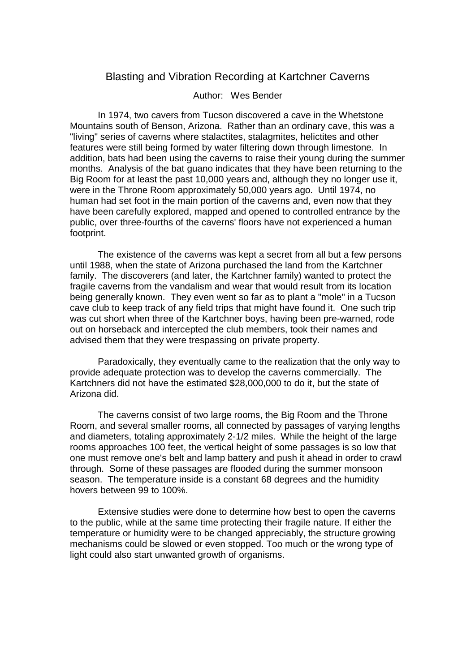## Blasting and Vibration Recording at Kartchner Caverns

## Author: Wes Bender

 In 1974, two cavers from Tucson discovered a cave in the Whetstone Mountains south of Benson, Arizona. Rather than an ordinary cave, this was a "living" series of caverns where stalactites, stalagmites, helictites and other features were still being formed by water filtering down through limestone. In addition, bats had been using the caverns to raise their young during the summer months. Analysis of the bat guano indicates that they have been returning to the Big Room for at least the past 10,000 years and, although they no longer use it, were in the Throne Room approximately 50,000 years ago. Until 1974, no human had set foot in the main portion of the caverns and, even now that they have been carefully explored, mapped and opened to controlled entrance by the public, over three-fourths of the caverns' floors have not experienced a human footprint.

 The existence of the caverns was kept a secret from all but a few persons until 1988, when the state of Arizona purchased the land from the Kartchner family. The discoverers (and later, the Kartchner family) wanted to protect the fragile caverns from the vandalism and wear that would result from its location being generally known. They even went so far as to plant a "mole" in a Tucson cave club to keep track of any field trips that might have found it. One such trip was cut short when three of the Kartchner boys, having been pre-warned, rode out on horseback and intercepted the club members, took their names and advised them that they were trespassing on private property.

 Paradoxically, they eventually came to the realization that the only way to provide adequate protection was to develop the caverns commercially. The Kartchners did not have the estimated \$28,000,000 to do it, but the state of Arizona did.

 The caverns consist of two large rooms, the Big Room and the Throne Room, and several smaller rooms, all connected by passages of varying lengths and diameters, totaling approximately 2-1/2 miles. While the height of the large rooms approaches 100 feet, the vertical height of some passages is so low that one must remove one's belt and lamp battery and push it ahead in order to crawl through. Some of these passages are flooded during the summer monsoon season. The temperature inside is a constant 68 degrees and the humidity hovers between 99 to 100%.

 Extensive studies were done to determine how best to open the caverns to the public, while at the same time protecting their fragile nature. If either the temperature or humidity were to be changed appreciably, the structure growing mechanisms could be slowed or even stopped. Too much or the wrong type of light could also start unwanted growth of organisms.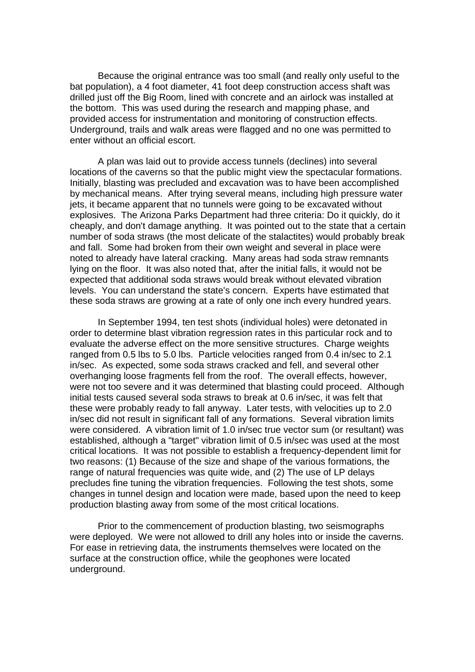Because the original entrance was too small (and really only useful to the bat population), a 4 foot diameter, 41 foot deep construction access shaft was drilled just off the Big Room, lined with concrete and an airlock was installed at the bottom. This was used during the research and mapping phase, and provided access for instrumentation and monitoring of construction effects. Underground, trails and walk areas were flagged and no one was permitted to enter without an official escort.

 A plan was laid out to provide access tunnels (declines) into several locations of the caverns so that the public might view the spectacular formations. Initially, blasting was precluded and excavation was to have been accomplished by mechanical means. After trying several means, including high pressure water jets, it became apparent that no tunnels were going to be excavated without explosives. The Arizona Parks Department had three criteria: Do it quickly, do it cheaply, and don't damage anything. It was pointed out to the state that a certain number of soda straws (the most delicate of the stalactites) would probably break and fall. Some had broken from their own weight and several in place were noted to already have lateral cracking. Many areas had soda straw remnants lying on the floor. It was also noted that, after the initial falls, it would not be expected that additional soda straws would break without elevated vibration levels. You can understand the state's concern. Experts have estimated that these soda straws are growing at a rate of only one inch every hundred years.

 In September 1994, ten test shots (individual holes) were detonated in order to determine blast vibration regression rates in this particular rock and to evaluate the adverse effect on the more sensitive structures. Charge weights ranged from 0.5 lbs to 5.0 lbs. Particle velocities ranged from 0.4 in/sec to 2.1 in/sec. As expected, some soda straws cracked and fell, and several other overhanging loose fragments fell from the roof. The overall effects, however, were not too severe and it was determined that blasting could proceed. Although initial tests caused several soda straws to break at 0.6 in/sec, it was felt that these were probably ready to fall anyway. Later tests, with velocities up to 2.0 in/sec did not result in significant fall of any formations. Several vibration limits were considered. A vibration limit of 1.0 in/sec true vector sum (or resultant) was established, although a "target" vibration limit of 0.5 in/sec was used at the most critical locations. It was not possible to establish a frequency-dependent limit for two reasons: (1) Because of the size and shape of the various formations, the range of natural frequencies was quite wide, and (2) The use of LP delays precludes fine tuning the vibration frequencies. Following the test shots, some changes in tunnel design and location were made, based upon the need to keep production blasting away from some of the most critical locations.

 Prior to the commencement of production blasting, two seismographs were deployed. We were not allowed to drill any holes into or inside the caverns. For ease in retrieving data, the instruments themselves were located on the surface at the construction office, while the geophones were located underground.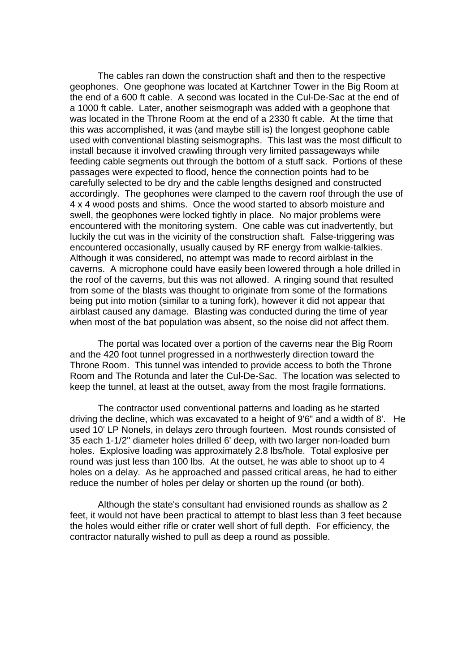The cables ran down the construction shaft and then to the respective geophones. One geophone was located at Kartchner Tower in the Big Room at the end of a 600 ft cable. A second was located in the Cul-De-Sac at the end of a 1000 ft cable. Later, another seismograph was added with a geophone that was located in the Throne Room at the end of a 2330 ft cable. At the time that this was accomplished, it was (and maybe still is) the longest geophone cable used with conventional blasting seismographs. This last was the most difficult to install because it involved crawling through very limited passageways while feeding cable segments out through the bottom of a stuff sack. Portions of these passages were expected to flood, hence the connection points had to be carefully selected to be dry and the cable lengths designed and constructed accordingly. The geophones were clamped to the cavern roof through the use of 4 x 4 wood posts and shims. Once the wood started to absorb moisture and swell, the geophones were locked tightly in place. No major problems were encountered with the monitoring system. One cable was cut inadvertently, but luckily the cut was in the vicinity of the construction shaft. False-triggering was encountered occasionally, usually caused by RF energy from walkie-talkies. Although it was considered, no attempt was made to record airblast in the caverns. A microphone could have easily been lowered through a hole drilled in the roof of the caverns, but this was not allowed. A ringing sound that resulted from some of the blasts was thought to originate from some of the formations being put into motion (similar to a tuning fork), however it did not appear that airblast caused any damage. Blasting was conducted during the time of year when most of the bat population was absent, so the noise did not affect them.

 The portal was located over a portion of the caverns near the Big Room and the 420 foot tunnel progressed in a northwesterly direction toward the Throne Room. This tunnel was intended to provide access to both the Throne Room and The Rotunda and later the Cul-De-Sac. The location was selected to keep the tunnel, at least at the outset, away from the most fragile formations.

 The contractor used conventional patterns and loading as he started driving the decline, which was excavated to a height of 9'6" and a width of 8'. He used 10' LP Nonels, in delays zero through fourteen. Most rounds consisted of 35 each 1-1/2" diameter holes drilled 6' deep, with two larger non-loaded burn holes. Explosive loading was approximately 2.8 lbs/hole. Total explosive per round was just less than 100 lbs. At the outset, he was able to shoot up to 4 holes on a delay. As he approached and passed critical areas, he had to either reduce the number of holes per delay or shorten up the round (or both).

 Although the state's consultant had envisioned rounds as shallow as 2 feet, it would not have been practical to attempt to blast less than 3 feet because the holes would either rifle or crater well short of full depth. For efficiency, the contractor naturally wished to pull as deep a round as possible.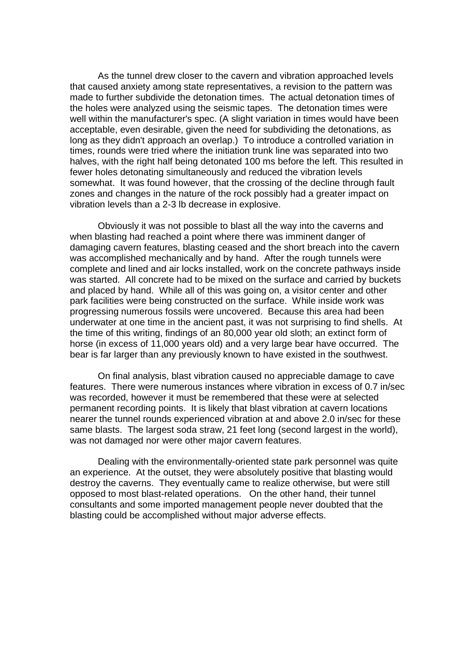As the tunnel drew closer to the cavern and vibration approached levels that caused anxiety among state representatives, a revision to the pattern was made to further subdivide the detonation times. The actual detonation times of the holes were analyzed using the seismic tapes. The detonation times were well within the manufacturer's spec. (A slight variation in times would have been acceptable, even desirable, given the need for subdividing the detonations, as long as they didn't approach an overlap.) To introduce a controlled variation in times, rounds were tried where the initiation trunk line was separated into two halves, with the right half being detonated 100 ms before the left. This resulted in fewer holes detonating simultaneously and reduced the vibration levels somewhat. It was found however, that the crossing of the decline through fault zones and changes in the nature of the rock possibly had a greater impact on vibration levels than a 2-3 lb decrease in explosive.

 Obviously it was not possible to blast all the way into the caverns and when blasting had reached a point where there was imminent danger of damaging cavern features, blasting ceased and the short breach into the cavern was accomplished mechanically and by hand. After the rough tunnels were complete and lined and air locks installed, work on the concrete pathways inside was started. All concrete had to be mixed on the surface and carried by buckets and placed by hand. While all of this was going on, a visitor center and other park facilities were being constructed on the surface. While inside work was progressing numerous fossils were uncovered. Because this area had been underwater at one time in the ancient past, it was not surprising to find shells. At the time of this writing, findings of an 80,000 year old sloth; an extinct form of horse (in excess of 11,000 years old) and a very large bear have occurred. The bear is far larger than any previously known to have existed in the southwest.

 On final analysis, blast vibration caused no appreciable damage to cave features. There were numerous instances where vibration in excess of 0.7 in/sec was recorded, however it must be remembered that these were at selected permanent recording points. It is likely that blast vibration at cavern locations nearer the tunnel rounds experienced vibration at and above 2.0 in/sec for these same blasts. The largest soda straw, 21 feet long (second largest in the world), was not damaged nor were other major cavern features.

 Dealing with the environmentally-oriented state park personnel was quite an experience. At the outset, they were absolutely positive that blasting would destroy the caverns. They eventually came to realize otherwise, but were still opposed to most blast-related operations. On the other hand, their tunnel consultants and some imported management people never doubted that the blasting could be accomplished without major adverse effects.